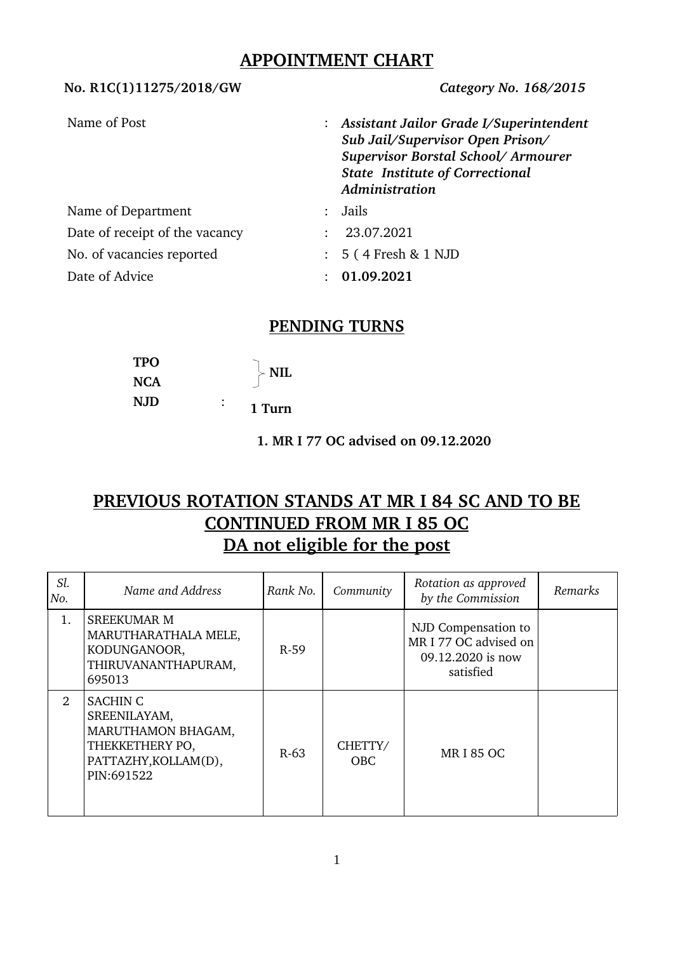# **APPOINTMENT CHART**

| 110.11101111270720107011       | $\frac{1}{2}$                                                                                                                                                                   |  |
|--------------------------------|---------------------------------------------------------------------------------------------------------------------------------------------------------------------------------|--|
| Name of Post                   | : Assistant Jailor Grade I/Superintendent<br>Sub Jail/Supervisor Open Prison/<br>Supervisor Borstal School/Armourer<br><b>State Institute of Correctional</b><br>Administration |  |
| Name of Department             | Jails<br>$\mathbb{R}^{\mathbb{Z}}$                                                                                                                                              |  |
| Date of receipt of the vacancy | 23.07.2021                                                                                                                                                                      |  |
| No. of vacancies reported      | $: 5(4$ Fresh & 1 NJD                                                                                                                                                           |  |
| Date of Advice                 | 01.09.2021                                                                                                                                                                      |  |

### **PENDING TURNS**

| <b>TPO</b> |   | <b>NIL</b> |
|------------|---|------------|
| <b>NCA</b> |   |            |
| <b>NJD</b> | ٠ | 1 Turn     |

 **1. MR I 77 OC advised on 09.12.2020**

# **PREVIOUS ROTATION STANDS AT MR I 84 SC AND TO BE CONTINUED FROM MR I 85 OC DA not eligible for the post**

| Sl.<br>No. | Name and Address                                                                                               | Rank No. | Community             | Rotation as approved<br>by the Commission                                      | Remarks |
|------------|----------------------------------------------------------------------------------------------------------------|----------|-----------------------|--------------------------------------------------------------------------------|---------|
| 1.         | <b>SREEKUMAR M</b><br>MARUTHARATHALA MELE,<br>KODUNGANOOR,<br>THIRUVANANTHAPURAM,<br>695013                    | $R-59$   |                       | NJD Compensation to<br>MR I 77 OC advised on<br>09.12.2020 is now<br>satisfied |         |
| 2          | <b>SACHIN C</b><br>SREENILAYAM,<br>MARUTHAMON BHAGAM,<br>THEKKETHERY PO,<br>PATTAZHY, KOLLAM(D),<br>PIN:691522 | $R-63$   | CHETTY/<br><b>OBC</b> | <b>MRI 85 OC</b>                                                               |         |

**No. R1C(1)11275/2018/GW** *Category No. 168/2015*